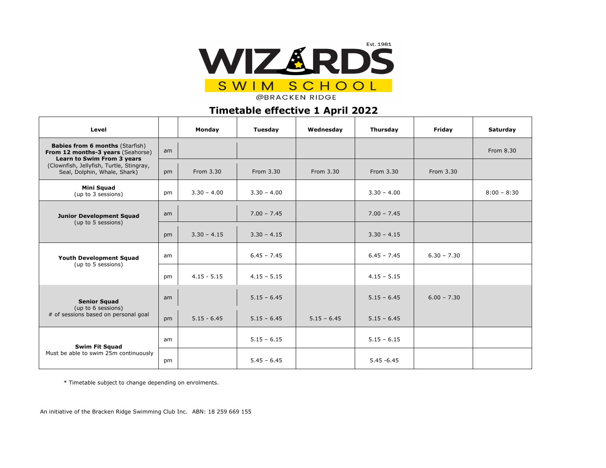

**@BRACKEN RIDGE** 

## **Timetable effective 1 April 2022**

| Level                                                                                                                                                                                        |    | Monday        | Tuesday       | Wednesday     | Thursday      | Friday        | Saturday      |
|----------------------------------------------------------------------------------------------------------------------------------------------------------------------------------------------|----|---------------|---------------|---------------|---------------|---------------|---------------|
| <b>Babies from 6 months (Starfish)</b><br>From 12 months-3 years (Seahorse)<br><b>Learn to Swim From 3 years</b><br>(Clownfish, Jellyfish, Turtle, Stingray,<br>Seal, Dolphin, Whale, Shark) | am |               |               |               |               |               | From 8.30     |
|                                                                                                                                                                                              | pm | From 3.30     | From 3.30     | From 3.30     | From 3.30     | From 3.30     |               |
| <b>Mini Squad</b><br>(up to 3 sessions)                                                                                                                                                      | pm | $3.30 - 4.00$ | $3.30 - 4.00$ |               | $3.30 - 4.00$ |               | $8:00 - 8:30$ |
| <b>Junior Development Squad</b><br>(up to 5 sessions)                                                                                                                                        | am |               | $7.00 - 7.45$ |               | $7.00 - 7.45$ |               |               |
|                                                                                                                                                                                              | pm | $3.30 - 4.15$ | $3.30 - 4.15$ |               | $3.30 - 4.15$ |               |               |
| <b>Youth Development Squad</b><br>(up to 5 sessions)                                                                                                                                         | am |               | $6.45 - 7.45$ |               | $6.45 - 7.45$ | $6.30 - 7.30$ |               |
|                                                                                                                                                                                              | pm | $4.15 - 5.15$ | $4.15 - 5.15$ |               | $4.15 - 5.15$ |               |               |
| <b>Senior Squad</b><br>(up to 6 sessions)<br># of sessions based on personal goal                                                                                                            | am |               | $5.15 - 6.45$ |               | $5.15 - 6.45$ | $6.00 - 7.30$ |               |
|                                                                                                                                                                                              | pm | $5.15 - 6.45$ | $5.15 - 6.45$ | $5.15 - 6.45$ | $5.15 - 6.45$ |               |               |
| <b>Swim Fit Squad</b><br>Must be able to swim 25m continuously                                                                                                                               | am |               | $5.15 - 6.15$ |               | $5.15 - 6.15$ |               |               |
|                                                                                                                                                                                              | pm |               | $5.45 - 6.45$ |               | $5.45 - 6.45$ |               |               |

\* Timetable subject to change depending on enrolments.

An initiative of the Bracken Ridge Swimming Club Inc. ABN: 18 259 669 155